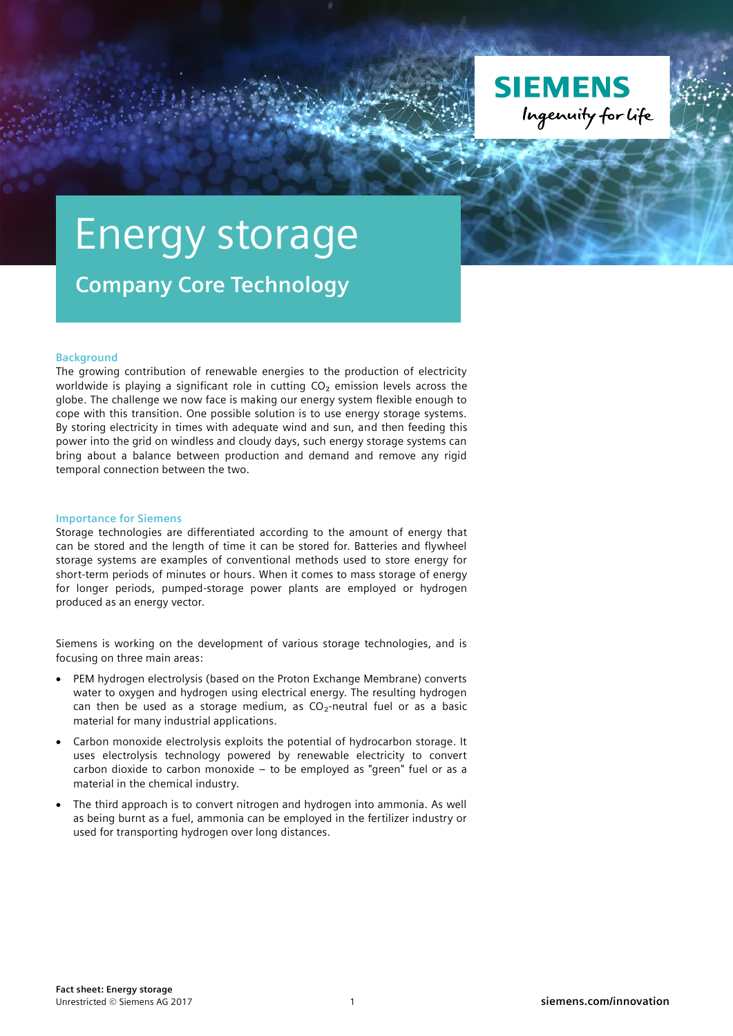

## Energy storage

**Company Core Technology**

## **Background**

The growing contribution of renewable energies to the production of electricity worldwide is playing a significant role in cutting  $CO<sub>2</sub>$  emission levels across the globe. The challenge we now face is making our energy system flexible enough to cope with this transition. One possible solution is to use energy storage systems. By storing electricity in times with adequate wind and sun, and then feeding this power into the grid on windless and cloudy days, such energy storage systems can bring about a balance between production and demand and remove any rigid temporal connection between the two.

## **Importance for Siemens**

Storage technologies are differentiated according to the amount of energy that can be stored and the length of time it can be stored for. Batteries and flywheel storage systems are examples of conventional methods used to store energy for short-term periods of minutes or hours. When it comes to mass storage of energy for longer periods, pumped-storage power plants are employed or hydrogen produced as an energy vector.

Siemens is working on the development of various storage technologies, and is focusing on three main areas:

- PEM hydrogen electrolysis (based on the Proton Exchange Membrane) converts water to oxygen and hydrogen using electrical energy. The resulting hydrogen can then be used as a storage medium, as  $CO<sub>2</sub>$ -neutral fuel or as a basic material for many industrial applications.
- Carbon monoxide electrolysis exploits the potential of hydrocarbon storage. It uses electrolysis technology powered by renewable electricity to convert carbon dioxide to carbon monoxide – to be employed as "green" fuel or as a material in the chemical industry.
- The third approach is to convert nitrogen and hydrogen into ammonia. As well as being burnt as a fuel, ammonia can be employed in the fertilizer industry or used for transporting hydrogen over long distances.